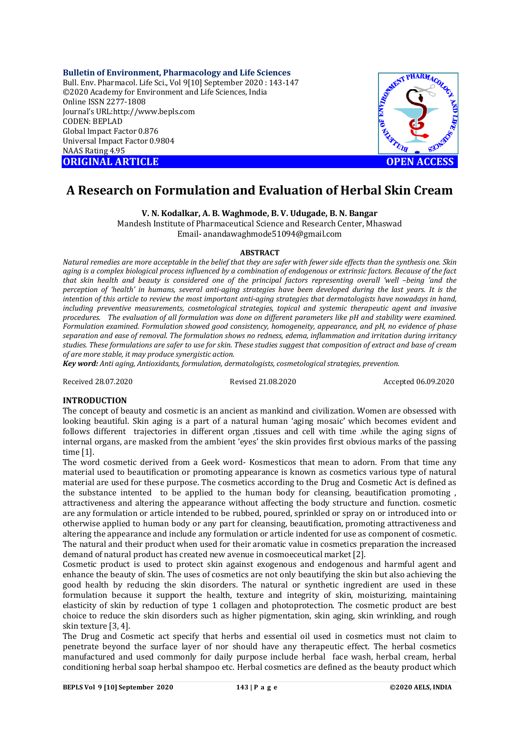**Bulletin of Environment, Pharmacology and Life Sciences** Bull. Env. Pharmacol. Life Sci., Vol 9[10] September 2020 : 143-147 ©2020 Academy for Environment and Life Sciences, India Online ISSN 2277-1808 Journal's URL:<http://www.bepls.com> CODEN: BEPLAD Global Impact Factor 0.876 Universal Impact Factor 0.9804 NAAS Rating 4.95

**ORIGINAL ARTICLE OPEN ACCESS** 



# **A Research on Formulation and Evaluation of Herbal Skin Cream**

**V. N. Kodalkar, A. B. Waghmode, B. V. Udugade, B. N. Bangar** 

Mandesh Institute of Pharmaceutical Science and Research Center, Mhaswad Email- [anandawaghmode51094@gmail.com](mailto:anandawaghmode51094@gmail.com)

#### **ABSTRACT**

*Natural remedies are more acceptable in the belief that they are safer with fewer side effects than the synthesis one. Skin aging is a complex biological process influenced by a combination of endogenous or extrinsic factors. Because of the fact that skin health and beauty is considered one of the principal factors representing overall 'well –being 'and the perception of 'health' in humans, several anti-aging strategies have been developed during the last years. It is the intention of this article to review the most important anti-aging strategies that dermatologists have nowadays in hand, including preventive measurements, cosmetological strategies, topical and systemic therapeutic agent and invasive procedures. The evaluation of all formulation was done on different parameters like pH and stability were examined. Formulation examined. Formulation showed good consistency, homogeneity, appearance, and pH, no evidence of phase separation and ease of removal. The formulation shows no redness, edema, inflammation and irritation during irritancy studies. These formulations are safer to use for skin. These studies suggest that composition of extract and base of cream of are more stable, it may produce synergistic action.*

*Key word: Anti aging, Antioxidants, formulation, dermatologists, cosmetological strategies, prevention*.

Received 28.07.2020 Revised 21.08.2020 Accepted 06.09.2020

### **INTRODUCTION**

The concept of beauty and cosmetic is an ancient as mankind and civilization. Women are obsessed with looking beautiful. Skin aging is a part of a natural human 'aging mosaic' which becomes evident and follows different trajectories in different organ ,tissues and cell with time .while the aging signs of internal organs, are masked from the ambient 'eyes' the skin provides first obvious marks of the passing time [1].

The word cosmetic derived from a Geek word- Kosmesticos that mean to adorn. From that time any material used to beautification or promoting appearance is known as cosmetics various type of natural material are used for these purpose. The cosmetics according to the Drug and Cosmetic Act is defined as the substance intented to be applied to the human body for cleansing, beautification promoting , attractiveness and altering the appearance without affecting the body structure and function. cosmetic are any formulation or article intended to be rubbed, poured, sprinkled or spray on or introduced into or otherwise applied to human body or any part for cleansing, beautification, promoting attractiveness and altering the appearance and include any formulation or article indented for use as component of cosmetic. The natural and their product when used for their aromatic value in cosmetics preparation the increased demand of natural product has created new avenue in cosmoeceutical market [2].

Cosmetic product is used to protect skin against exogenous and endogenous and harmful agent and enhance the beauty of skin. The uses of cosmetics are not only beautifying the skin but also achieving the good health by reducing the skin disorders. The natural or synthetic ingredient are used in these formulation because it support the health, texture and integrity of skin, moisturizing, maintaining elasticity of skin by reduction of type 1 collagen and photoprotection. The cosmetic product are best choice to reduce the skin disorders such as higher pigmentation, skin aging, skin wrinkling, and rough skin texture [3, 4].

The Drug and Cosmetic act specify that herbs and essential oil used in cosmetics must not claim to penetrate beyond the surface layer of nor should have any therapeutic effect. The herbal cosmetics manufactured and used commonly for daily purpose include herbal face wash, herbal cream, herbal conditioning herbal soap herbal shampoo etc. Herbal cosmetics are defined as the beauty product which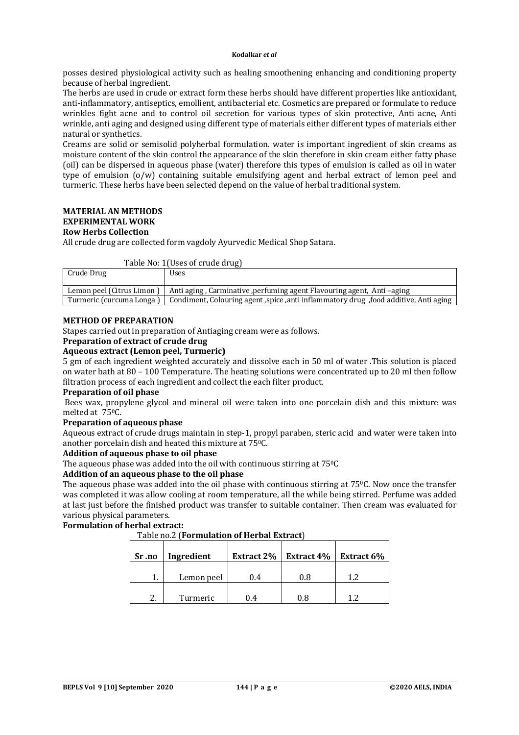posses desired physiological activity such as healing smoothening enhancing and conditioning property because of herbal ingredient.

The herbs are used in crude or extract form these herbs should have different properties like antioxidant, anti-inflammatory, antiseptics, emollient, antibacterial etc. Cosmetics are prepared or formulate to reduce wrinkles fight acne and to control oil secretion for various types of skin protective, Anti acne, Anti wrinkle, anti aging and designed using different type of materials either different types of materials either natural or synthetics.

Creams are solid or semisolid polyherbal formulation. water is important ingredient of skin creams as moisture content of the skin control the appearance of the skin therefore in skin cream either fatty phase (oil) can be dispersed in aqueous phase (water) therefore this types of emulsion is called as oil in water type of emulsion (o/w) containing suitable emulsifying agent and herbal extract of lemon peel and turmeric. These herbs have been selected depend on the value of herbal traditional system.

#### **MATERIAL AN METHODS EXPERIMENTAL WORK Row Herbs Collection**

All crude drug are collected form vagdoly Ayurvedic Medical Shop Satara.

|                           | Table No: 1 (Uses of crude drug)                                                       |
|---------------------------|----------------------------------------------------------------------------------------|
| Crude Drug                | Uses                                                                                   |
| Lemon peel (Citrus Limon) | Anti aging, Carminative, perfuming agent Flavouring agent, Anti –aging                 |
| Turmeric (curcuma Longa)  | Condiment, Colouring agent, spice , anti inflammatory drug , food additive, Anti aging |

### **METHOD OF PREPARATION**

Stapes carried out in preparation of Antiaging cream were as follows.

# **Preparation of extract of crude drug**

### **Aqueous extract (Lemon peel, Turmeric)**

5 gm of each ingredient weighted accurately and dissolve each in 50 ml of water .This solution is placed on water bath at 80 – 100 Temperature. The heating solutions were concentrated up to 20 ml then follow filtration process of each ingredient and collect the each filter product.

#### **Preparation of oil phase**

Bees wax, propylene glycol and mineral oil were taken into one porcelain dish and this mixture was melted at 750C.

#### **Preparation of aqueous phase**

Aqueous extract of crude drugs maintain in step-1, propyl paraben, steric acid and water were taken into another porcelain dish and heated this mixture at 750C.

# **Addition of aqueous phase to oil phase**

The aqueous phase was added into the oil with continuous stirring at 75<sup>o</sup>C

# **Addition of an aqueous phase to the oil phase**

The aqueous phase was added into the oil phase with continuous stirring at  $75\degree$ C. Now once the transfer was completed it was allow cooling at room temperature, all the while being stirred. Perfume was added at last just before the finished product was transfer to suitable container. Then cream was evaluated for various physical parameters.

### **Formulation of herbal extract:**

| Sr.no               | Ingredient | <b>Extract 2%</b> | <b>Extract 4%</b> | <b>Extract 6%</b> |  |
|---------------------|------------|-------------------|-------------------|-------------------|--|
| ı.                  | Lemon peel | (1.4)             | 0.8               | 1.2               |  |
| $\mathcal{D}$<br>Ζ. | Turmeric   |                   | 0.8               | 19                |  |

Table no.2 (**Formulation of Herbal Extract**)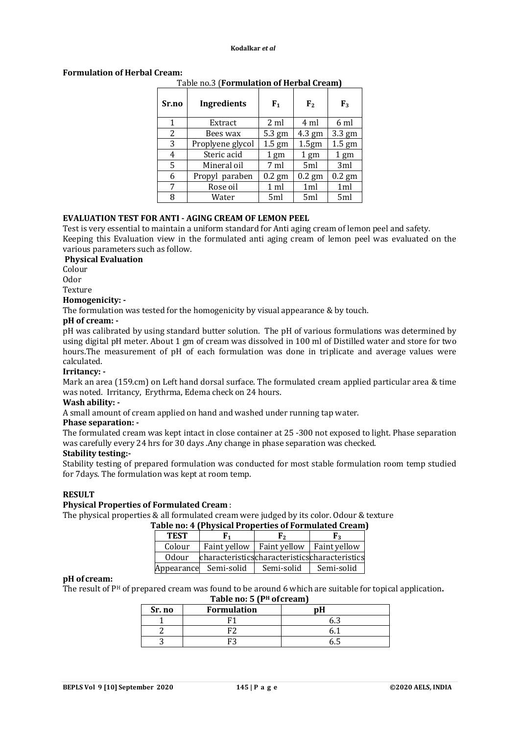### **Formulation of Herbal Cream:**

|              | Table no.3 ( <b>Formulation of Herbal Cream)</b> |                |                 |                 |  |
|--------------|--------------------------------------------------|----------------|-----------------|-----------------|--|
| Sr.no        | <b>Ingredients</b>                               | F <sub>1</sub> | F <sub>2</sub>  | $F_3$           |  |
| $\mathbf{1}$ | Extract                                          | 2 ml           | 4 ml            | 6 ml            |  |
| 2            | Bees wax                                         | $5.3$ gm       | 4.3 gm          | $3.3$ gm        |  |
| 3            | Proplyene glycol                                 | $1.5$ gm       | 1.5gm           | $1.5$ gm        |  |
| 4            | Steric acid                                      | $1 \text{ gm}$ | $1 \text{ gm}$  | $1 \text{ gm}$  |  |
| 5            | Mineral oil                                      | 7 ml           | 5ml             | 3ml             |  |
| 6            | Propyl paraben                                   | $0.2$ gm       | $0.2$ gm        | $0.2$ gm        |  |
| 7            | Rose oil                                         | 1 ml           | 1 <sub>ml</sub> | 1 <sub>ml</sub> |  |
| 8            | Water                                            | 5ml            | 5ml             | 5ml             |  |

# Table no.3 (**Formulation of Herbal Cream)**

### **EVALUATION TEST FOR ANTI - AGING CREAM OF LEMON PEEL**

Test is very essential to maintain a uniform standard for Anti aging cream of lemon peel and safety. Keeping this Evaluation view in the formulated anti aging cream of lemon peel was evaluated on the various parameters such as follow.

### **Physical Evaluation**

Colour

Odor

Texture

#### **Homogenicity: -**

The formulation was tested for the homogenicity by visual appearance & by touch.

### **pH of cream: -**

pH was calibrated by using standard butter solution. The pH of various formulations was determined by using digital pH meter. About 1 gm of cream was dissolved in 100 ml of Distilled water and store for two hours.The measurement of pH of each formulation was done in triplicate and average values were calculated.

#### **Irritancy: -**

Mark an area (159.cm) on Left hand dorsal surface. The formulated cream applied particular area & time was noted. Irritancy, Erythrma, Edema check on 24 hours.

#### **Wash ability: -**

A small amount of cream applied on hand and washed under running tap water.

### **Phase separation: -**

The formulated cream was kept intact in close container at 25 -300 not exposed to light. Phase separation was carefully every 24 hrs for 30 days .Any change in phase separation was checked.

### **Stability testing:-**

Stability testing of prepared formulation was conducted for most stable formulation room temp studied for 7days. The formulation was kept at room temp.

# **RESULT**

### **Physical Properties of Formulated Cream** :

The physical properties & all formulated cream were judged by its color. Odour & texture

| Table no: 4 (Physical Properties of Formulated Cream) |  |  |
|-------------------------------------------------------|--|--|

| <b>TEST</b>  | F1.                   | F2                                            | F <sub>2</sub> |
|--------------|-----------------------|-----------------------------------------------|----------------|
| Colour       |                       | Faint yellow   Faint yellow   Faint yellow    |                |
| <b>Odour</b> |                       | characteristicscharacteristicscharacteristics |                |
|              | Appearance Semi-solid | Semi-solid                                    | Semi-solid     |

# **pH of cream:**

The result of P<sup>H</sup> of prepared cream was found to be around 6 which are suitable for topical application**.** 

| Table no: 5 (P <sup>H</sup> of cream) |  |  |
|---------------------------------------|--|--|
|                                       |  |  |

| Sr. no | <b>Formulation</b> |  |
|--------|--------------------|--|
|        | п,                 |  |
|        | m.                 |  |
|        | $\mathbf{r}$       |  |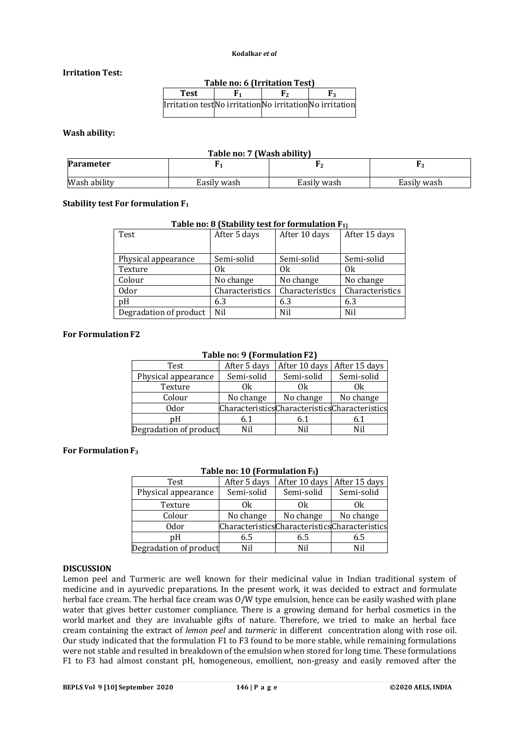### **Irritation Test:**

| Table no: 6 (Irritation Test)                             |    |    |                |  |
|-----------------------------------------------------------|----|----|----------------|--|
| <b>Test</b>                                               | F1 | F, | F <sub>2</sub> |  |
| Irritation test No irritation No irritation No irritation |    |    |                |  |

### **Wash ability:**

| Table no: 7 (Wash ability) |             |             |             |  |  |
|----------------------------|-------------|-------------|-------------|--|--|
| <b>Parameter</b><br>ר י    |             |             |             |  |  |
| Wash ability               | Easily wash | Easily wash | Easily wash |  |  |

#### **Stability test For formulation F<sup>1</sup>**

|  | Table no: 8 (Stability test for formulation $F_{1}$ ) |  |
|--|-------------------------------------------------------|--|
|--|-------------------------------------------------------|--|

| Test                   | After 5 days    | After 10 days   | After 15 days   |
|------------------------|-----------------|-----------------|-----------------|
|                        |                 |                 |                 |
| Physical appearance    | Semi-solid      | Semi-solid      | Semi-solid      |
| Texture                | 0k              | 0k              | 0k              |
| Colour                 | No change       | No change       | No change       |
| <b>Odor</b>            | Characteristics | Characteristics | Characteristics |
| pΗ                     | 6.3             | 6.3             | 6.3             |
| Degradation of product | Nil             | Nil             | <b>Nil</b>      |

### **For Formulation F2**

#### **Table no: 9 (Formulation F2)**

| Test                   | After 5 days                                  | After 10 days | After 15 days |
|------------------------|-----------------------------------------------|---------------|---------------|
| Physical appearance    | Semi-solid                                    | Semi-solid    | Semi-solid    |
| Texture                | 0k                                            | 0k            | ()k           |
| Colour                 | No change                                     | No change     | No change     |
| 0dor                   | CharacteristicsCharacteristicsCharacteristics |               |               |
| pН                     | 6.1                                           | 6.1           | 6.1           |
| Degradation of product | Nil                                           | Nil           | Nil           |

#### **For Formulation F<sup>3</sup>**

#### **Table no: 10 (Formulation F3)**

| Test                   | After 5 days | After 10 days | After 15 days                                 |
|------------------------|--------------|---------------|-----------------------------------------------|
| Physical appearance    | Semi-solid   | Semi-solid    | Semi-solid                                    |
| Texture                | 0k           | 0k.           | 0k                                            |
| Colour                 | No change    | No change     | No change                                     |
| 0dor                   |              |               | CharacteristicsCharacteristicsCharacteristics |
| pΗ                     | 6.5          | 6.5           | 6.5                                           |
| Degradation of product | Nil          | Nil           | Nil                                           |

#### **DISCUSSION**

Lemon peel and Turmeric are well known for their medicinal value in Indian traditional system of medicine and in ayurvedic preparations. In the present work, it was decided to extract and formulate herbal face cream. The herbal face cream was O/W type emulsion, hence can be easily washed with plane water that gives better customer compliance. There is a growing demand for herbal cosmetics in the world market and they are invaluable gifts of nature. Therefore, we tried to make an herbal face cream containing the extract of *lemon peel* and *turmeric* in different concentration along with rose oil. Our study indicated that the formulation F1 to F3 found to be more stable, while remaining formulations were not stable and resulted in breakdown of the emulsion when stored for long time. These formulations F1 to F3 had almost constant pH, homogeneous, emollient, non-greasy and easily removed after the